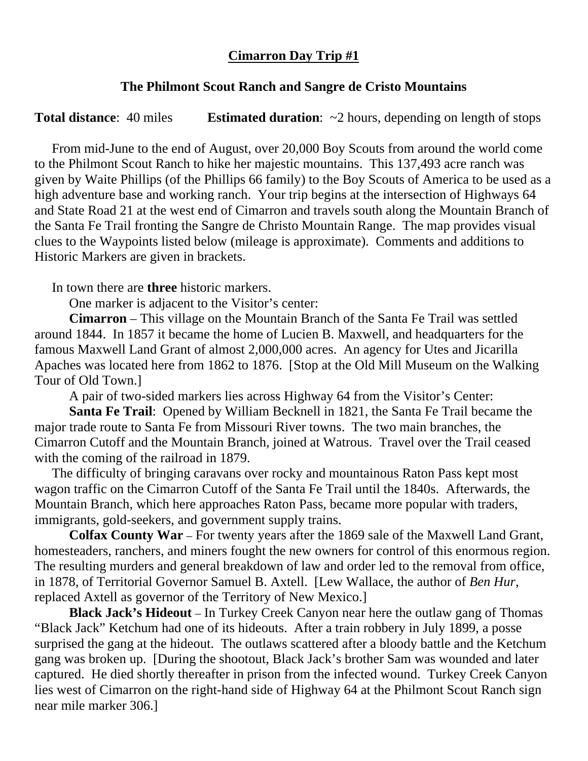## **Cimarron Day Trip #1**

## **The Philmont Scout Ranch and Sangre de Cristo Mountains**

**Total distance:** 40 miles **Estimated duration:** ~2 hours, depending on length of stops

From mid-June to the end of August, over 20,000 Boy Scouts from around the world come to the Philmont Scout Ranch to hike her majestic mountains. This 137,493 acre ranch was given by Waite Phillips (of the Phillips 66 family) to the Boy Scouts of America to be used as a high adventure base and working ranch. Your trip begins at the intersection of Highways 64 and State Road 21 at the west end of Cimarron and travels south along the Mountain Branch of the Santa Fe Trail fronting the Sangre de Christo Mountain Range. The map provides visual clues to the Waypoints listed below (mileage is approximate). Comments and additions to Historic Markers are given in brackets.

In town there are **three** historic markers.

One marker is adjacent to the Visitor's center:

**Cimarron** – This village on the Mountain Branch of the Santa Fe Trail was settled around 1844. In 1857 it became the home of Lucien B. Maxwell, and headquarters for the famous Maxwell Land Grant of almost 2,000,000 acres. An agency for Utes and Jicarilla Apaches was located here from 1862 to 1876. [Stop at the Old Mill Museum on the Walking Tour of Old Town.]

A pair of two-sided markers lies across Highway 64 from the Visitor's Center:

**Santa Fe Trail**: Opened by William Becknell in 1821, the Santa Fe Trail became the major trade route to Santa Fe from Missouri River towns. The two main branches, the Cimarron Cutoff and the Mountain Branch, joined at Watrous. Travel over the Trail ceased with the coming of the railroad in 1879.

The difficulty of bringing caravans over rocky and mountainous Raton Pass kept most wagon traffic on the Cimarron Cutoff of the Santa Fe Trail until the 1840s. Afterwards, the Mountain Branch, which here approaches Raton Pass, became more popular with traders, immigrants, gold-seekers, and government supply trains.

**Colfax County War** – For twenty years after the 1869 sale of the Maxwell Land Grant, homesteaders, ranchers, and miners fought the new owners for control of this enormous region. The resulting murders and general breakdown of law and order led to the removal from office, in 1878, of Territorial Governor Samuel B. Axtell. [Lew Wallace, the author of *Ben Hur*, replaced Axtell as governor of the Territory of New Mexico.]

**Black Jack's Hideout** – In Turkey Creek Canyon near here the outlaw gang of Thomas "Black Jack" Ketchum had one of its hideouts. After a train robbery in July 1899, a posse surprised the gang at the hideout. The outlaws scattered after a bloody battle and the Ketchum gang was broken up. [During the shootout, Black Jack's brother Sam was wounded and later captured. He died shortly thereafter in prison from the infected wound. Turkey Creek Canyon lies west of Cimarron on the right-hand side of Highway 64 at the Philmont Scout Ranch sign near mile marker 306.]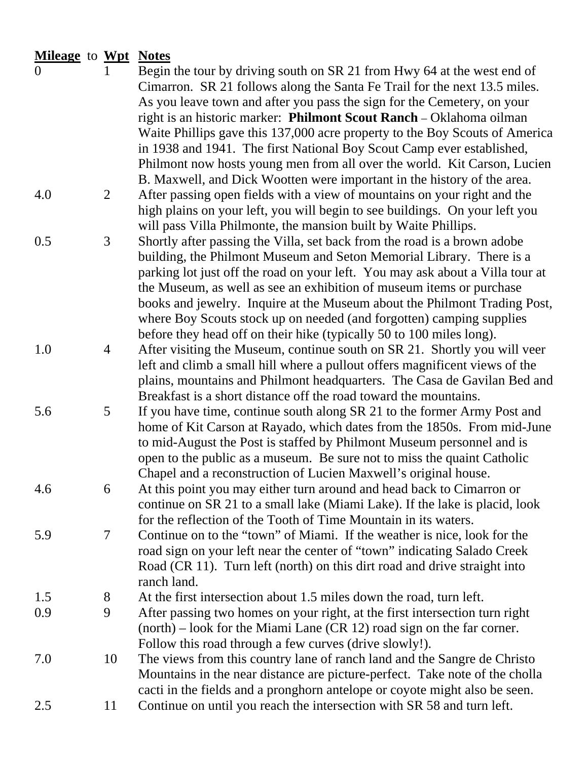## **Mileage** to **Wpt Notes**

| $\overline{0}$ | $\mathbf{1}$   | Begin the tour by driving south on SR 21 from Hwy 64 at the west end of<br>Cimarron. SR 21 follows along the Santa Fe Trail for the next 13.5 miles. |
|----------------|----------------|------------------------------------------------------------------------------------------------------------------------------------------------------|
|                |                | As you leave town and after you pass the sign for the Cemetery, on your                                                                              |
|                |                | right is an historic marker: Philmont Scout Ranch - Oklahoma oilman                                                                                  |
|                |                | Waite Phillips gave this 137,000 acre property to the Boy Scouts of America                                                                          |
|                |                | in 1938 and 1941. The first National Boy Scout Camp ever established,                                                                                |
|                |                | Philmont now hosts young men from all over the world. Kit Carson, Lucien                                                                             |
|                |                | B. Maxwell, and Dick Wootten were important in the history of the area.                                                                              |
| 4.0            | 2              | After passing open fields with a view of mountains on your right and the                                                                             |
|                |                | high plains on your left, you will begin to see buildings. On your left you                                                                          |
|                |                |                                                                                                                                                      |
|                |                | will pass Villa Philmonte, the mansion built by Waite Phillips.                                                                                      |
| 0.5            | 3              | Shortly after passing the Villa, set back from the road is a brown adobe                                                                             |
|                |                | building, the Philmont Museum and Seton Memorial Library. There is a                                                                                 |
|                |                | parking lot just off the road on your left. You may ask about a Villa tour at                                                                        |
|                |                | the Museum, as well as see an exhibition of museum items or purchase                                                                                 |
|                |                | books and jewelry. Inquire at the Museum about the Philmont Trading Post,                                                                            |
|                |                | where Boy Scouts stock up on needed (and forgotten) camping supplies                                                                                 |
|                |                | before they head off on their hike (typically 50 to 100 miles long).                                                                                 |
| 1.0            | 4              | After visiting the Museum, continue south on SR 21. Shortly you will veer                                                                            |
|                |                | left and climb a small hill where a pullout offers magnificent views of the                                                                          |
|                |                | plains, mountains and Philmont headquarters. The Casa de Gavilan Bed and                                                                             |
|                |                | Breakfast is a short distance off the road toward the mountains.                                                                                     |
| 5.6            | 5              | If you have time, continue south along SR 21 to the former Army Post and                                                                             |
|                |                | home of Kit Carson at Rayado, which dates from the 1850s. From mid-June                                                                              |
|                |                | to mid-August the Post is staffed by Philmont Museum personnel and is                                                                                |
|                |                | open to the public as a museum. Be sure not to miss the quaint Catholic                                                                              |
|                |                | Chapel and a reconstruction of Lucien Maxwell's original house.                                                                                      |
| 4.6            | 6              | At this point you may either turn around and head back to Cimarron or                                                                                |
|                |                | continue on SR 21 to a small lake (Miami Lake). If the lake is placid, look                                                                          |
|                |                | for the reflection of the Tooth of Time Mountain in its waters.                                                                                      |
| 5.9            | $\overline{7}$ | Continue on to the "town" of Miami. If the weather is nice, look for the                                                                             |
|                |                | road sign on your left near the center of "town" indicating Salado Creek                                                                             |
|                |                | Road (CR 11). Turn left (north) on this dirt road and drive straight into                                                                            |
|                |                | ranch land.                                                                                                                                          |
| 1.5            | 8              | At the first intersection about 1.5 miles down the road, turn left.                                                                                  |
| 0.9            | 9              | After passing two homes on your right, at the first intersection turn right                                                                          |
|                |                | $(north)$ – look for the Miami Lane (CR 12) road sign on the far corner.                                                                             |
|                |                | Follow this road through a few curves (drive slowly!).                                                                                               |
| 7.0            | 10             | The views from this country lane of ranch land and the Sangre de Christo                                                                             |
|                |                | Mountains in the near distance are picture-perfect. Take note of the cholla                                                                          |
|                |                | cacti in the fields and a pronghorn antelope or coyote might also be seen.                                                                           |
| 2.5            | 11             | Continue on until you reach the intersection with SR 58 and turn left.                                                                               |